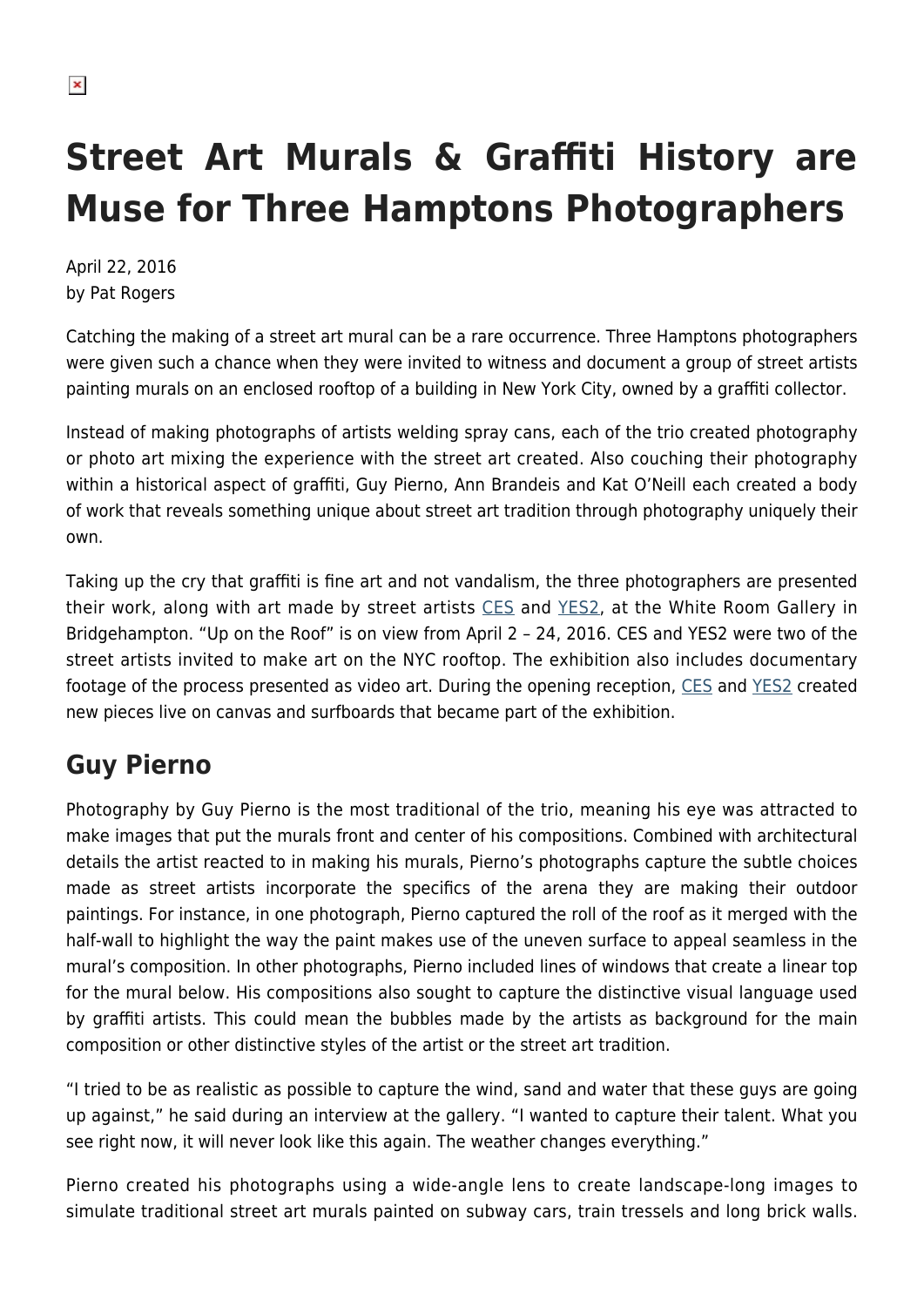# **Street Art Murals & Graffiti History are Muse for Three Hamptons Photographers**

April 22, 2016 by Pat Rogers

Catching the making of a street art mural can be a rare occurrence. Three Hamptons photographers were given such a chance when they were invited to witness and document a group of street artists painting murals on an enclosed rooftop of a building in New York City, owned by a graffiti collector.

Instead of making photographs of artists welding spray cans, each of the trio created photography or photo art mixing the experience with the street art created. Also couching their photography within a historical aspect of graffiti, Guy Pierno, Ann Brandeis and Kat O'Neill each created a body of work that reveals something unique about street art tradition through photography uniquely their own.

Taking up the cry that graffiti is fine art and not vandalism, the three photographers are presented their work, along with art made by street artists [CES](http://bx200.com/portfolio/ces/) and [YES2,](http://www.knowngallery.com/kg-collection/yes-2) at the White Room Gallery in Bridgehampton. "Up on the Roof" is on view from April 2 – 24, 2016. CES and YES2 were two of the street artists invited to make art on the NYC rooftop. The exhibition also includes documentary footage of the process presented as video art. During the opening reception, [CES](http://bx200.com/portfolio/ces/) and [YES2](http://www.knowngallery.com/kg-collection/yes-2) created new pieces live on canvas and surfboards that became part of the exhibition.

### **Guy Pierno**

Photography by Guy Pierno is the most traditional of the trio, meaning his eye was attracted to make images that put the murals front and center of his compositions. Combined with architectural details the artist reacted to in making his murals, Pierno's photographs capture the subtle choices made as street artists incorporate the specifics of the arena they are making their outdoor paintings. For instance, in one photograph, Pierno captured the roll of the roof as it merged with the half-wall to highlight the way the paint makes use of the uneven surface to appeal seamless in the mural's composition. In other photographs, Pierno included lines of windows that create a linear top for the mural below. His compositions also sought to capture the distinctive visual language used by graffiti artists. This could mean the bubbles made by the artists as background for the main composition or other distinctive styles of the artist or the street art tradition.

"I tried to be as realistic as possible to capture the wind, sand and water that these guys are going up against," he said during an interview at the gallery. "I wanted to capture their talent. What you see right now, it will never look like this again. The weather changes everything."

Pierno created his photographs using a wide-angle lens to create landscape-long images to simulate traditional street art murals painted on subway cars, train tressels and long brick walls.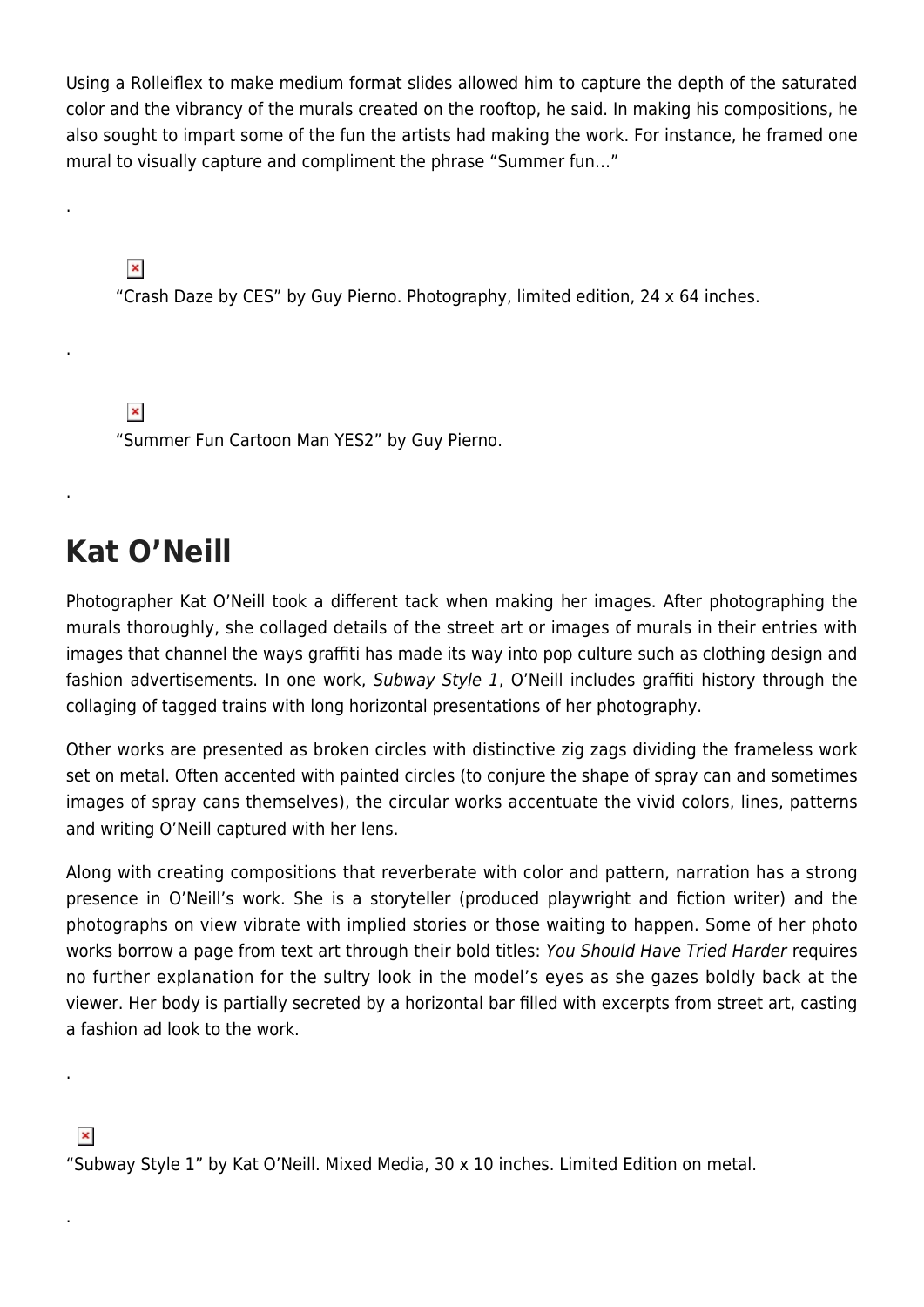Using a Rolleiflex to make medium format slides allowed him to capture the depth of the saturated color and the vibrancy of the murals created on the rooftop, he said. In making his compositions, he also sought to impart some of the fun the artists had making the work. For instance, he framed one mural to visually capture and compliment the phrase "Summer fun…"

 $\pmb{\times}$ 

.

.

.

"Crash Daze by CES" by Guy Pierno. Photography, limited edition, 24 x 64 inches.

 $\pmb{\times}$ "Summer Fun Cartoon Man YES2" by Guy Pierno.

## **Kat O'Neill**

Photographer Kat O'Neill took a different tack when making her images. After photographing the murals thoroughly, she collaged details of the street art or images of murals in their entries with images that channel the ways graffiti has made its way into pop culture such as clothing design and fashion advertisements. In one work, Subway Style 1, O'Neill includes graffiti history through the collaging of tagged trains with long horizontal presentations of her photography.

Other works are presented as broken circles with distinctive zig zags dividing the frameless work set on metal. Often accented with painted circles (to conjure the shape of spray can and sometimes images of spray cans themselves), the circular works accentuate the vivid colors, lines, patterns and writing O'Neill captured with her lens.

Along with creating compositions that reverberate with color and pattern, narration has a strong presence in O'Neill's work. She is a storyteller (produced playwright and fiction writer) and the photographs on view vibrate with implied stories or those waiting to happen. Some of her photo works borrow a page from text art through their bold titles: You Should Have Tried Harder requires no further explanation for the sultry look in the model's eyes as she gazes boldly back at the viewer. Her body is partially secreted by a horizontal bar filled with excerpts from street art, casting a fashion ad look to the work.

#### $\pmb{\times}$

.

.

"Subway Style 1" by Kat O'Neill. Mixed Media, 30 x 10 inches. Limited Edition on metal.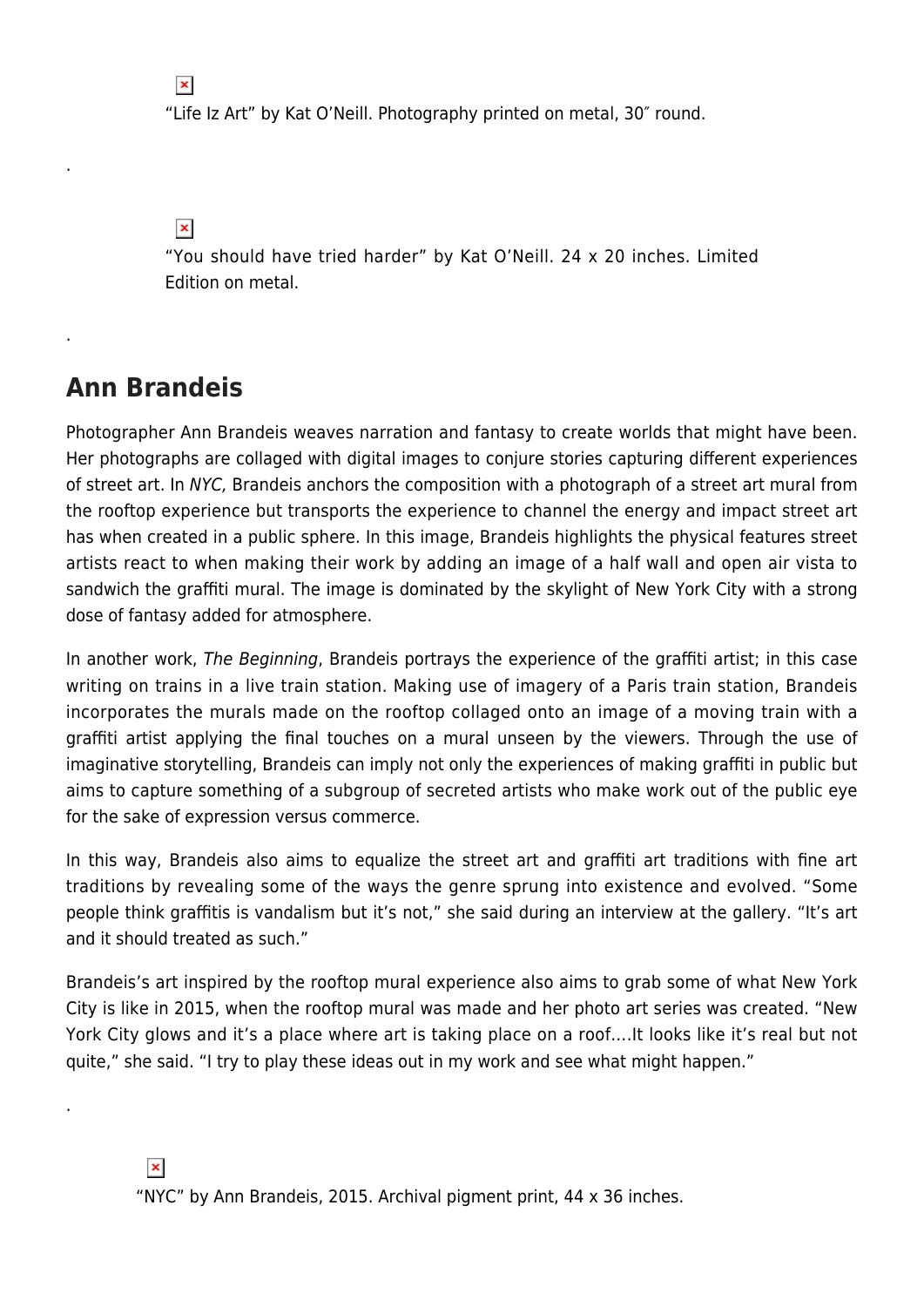"Life Iz Art" by Kat O'Neill. Photography printed on metal, 30″ round.

 $\pmb{\times}$ 

 $\pmb{\times}$ 

.

.

.

"You should have tried harder" by Kat O'Neill. 24 x 20 inches. Limited Edition on metal.

#### **Ann Brandeis**

Photographer Ann Brandeis weaves narration and fantasy to create worlds that might have been. Her photographs are collaged with digital images to conjure stories capturing different experiences of street art. In NYC, Brandeis anchors the composition with a photograph of a street art mural from the rooftop experience but transports the experience to channel the energy and impact street art has when created in a public sphere. In this image, Brandeis highlights the physical features street artists react to when making their work by adding an image of a half wall and open air vista to sandwich the graffiti mural. The image is dominated by the skylight of New York City with a strong dose of fantasy added for atmosphere.

In another work, The Beginning, Brandeis portrays the experience of the graffiti artist; in this case writing on trains in a live train station. Making use of imagery of a Paris train station, Brandeis incorporates the murals made on the rooftop collaged onto an image of a moving train with a graffiti artist applying the final touches on a mural unseen by the viewers. Through the use of imaginative storytelling, Brandeis can imply not only the experiences of making graffiti in public but aims to capture something of a subgroup of secreted artists who make work out of the public eye for the sake of expression versus commerce.

In this way, Brandeis also aims to equalize the street art and graffiti art traditions with fine art traditions by revealing some of the ways the genre sprung into existence and evolved. "Some people think graffitis is vandalism but it's not," she said during an interview at the gallery. "It's art and it should treated as such."

Brandeis's art inspired by the rooftop mural experience also aims to grab some of what New York City is like in 2015, when the rooftop mural was made and her photo art series was created. "New York City glows and it's a place where art is taking place on a roof….It looks like it's real but not quite," she said. "I try to play these ideas out in my work and see what might happen."